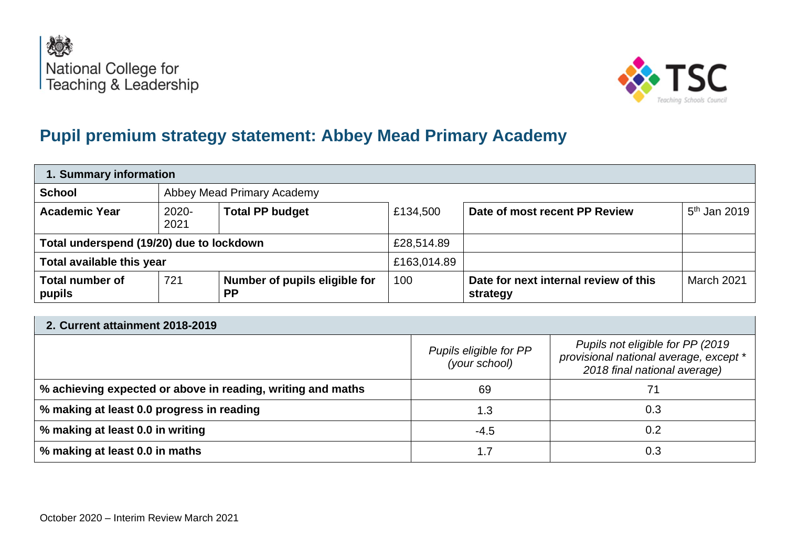



## **Pupil premium strategy statement: Abbey Mead Primary Academy**

| 1. Summary information                   |                            |                                            |             |                                                   |                |  |
|------------------------------------------|----------------------------|--------------------------------------------|-------------|---------------------------------------------------|----------------|--|
| <b>School</b>                            | Abbey Mead Primary Academy |                                            |             |                                                   |                |  |
| <b>Academic Year</b>                     | $2020 -$<br>2021           | <b>Total PP budget</b>                     | £134,500    | Date of most recent PP Review                     | $5th$ Jan 2019 |  |
| Total underspend (19/20) due to lockdown |                            |                                            | £28,514.89  |                                                   |                |  |
| Total available this year                |                            |                                            | £163,014.89 |                                                   |                |  |
| <b>Total number of</b><br>pupils         | 721                        | Number of pupils eligible for<br><b>PP</b> | 100         | Date for next internal review of this<br>strategy | March 2021     |  |

| 2. Current attainment 2018-2019                             |                                         |                                                                                                             |  |  |  |
|-------------------------------------------------------------|-----------------------------------------|-------------------------------------------------------------------------------------------------------------|--|--|--|
|                                                             | Pupils eligible for PP<br>(your school) | Pupils not eligible for PP (2019)<br>provisional national average, except *<br>2018 final national average) |  |  |  |
| % achieving expected or above in reading, writing and maths | 69                                      |                                                                                                             |  |  |  |
| % making at least 0.0 progress in reading                   | 1.3                                     | 0.3                                                                                                         |  |  |  |
| % making at least 0.0 in writing                            | $-4.5$                                  | 0.2                                                                                                         |  |  |  |
| % making at least 0.0 in maths                              | 1.7                                     | 0.3                                                                                                         |  |  |  |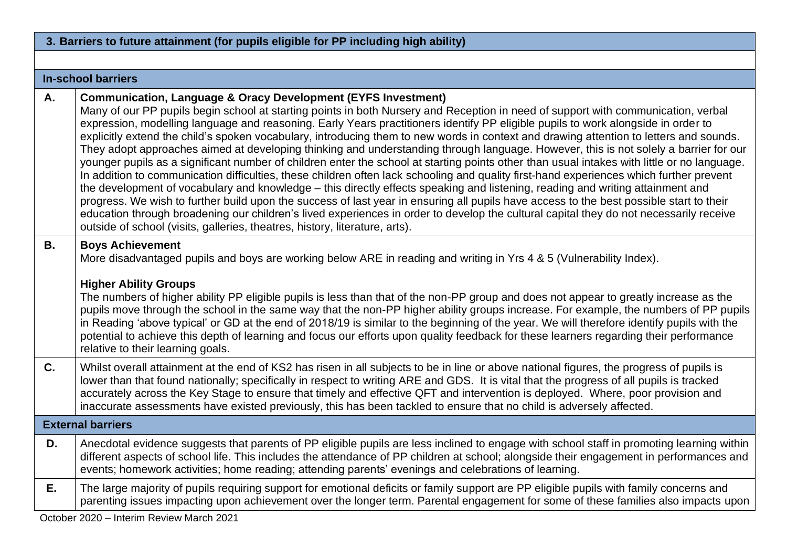|           | 3. Barriers to future attainment (for pupils eligible for PP including high ability)                                                                                                                                                                                                                                                                                                                                                                                                                                                                                                                                                                                                                                                                                                                                                                                                                                                                                                                                                                                                                                                                                                                                                                                                                                                                                                                                                 |
|-----------|--------------------------------------------------------------------------------------------------------------------------------------------------------------------------------------------------------------------------------------------------------------------------------------------------------------------------------------------------------------------------------------------------------------------------------------------------------------------------------------------------------------------------------------------------------------------------------------------------------------------------------------------------------------------------------------------------------------------------------------------------------------------------------------------------------------------------------------------------------------------------------------------------------------------------------------------------------------------------------------------------------------------------------------------------------------------------------------------------------------------------------------------------------------------------------------------------------------------------------------------------------------------------------------------------------------------------------------------------------------------------------------------------------------------------------------|
|           |                                                                                                                                                                                                                                                                                                                                                                                                                                                                                                                                                                                                                                                                                                                                                                                                                                                                                                                                                                                                                                                                                                                                                                                                                                                                                                                                                                                                                                      |
|           | <b>In-school barriers</b>                                                                                                                                                                                                                                                                                                                                                                                                                                                                                                                                                                                                                                                                                                                                                                                                                                                                                                                                                                                                                                                                                                                                                                                                                                                                                                                                                                                                            |
| Α.        | <b>Communication, Language &amp; Oracy Development (EYFS Investment)</b><br>Many of our PP pupils begin school at starting points in both Nursery and Reception in need of support with communication, verbal<br>expression, modelling language and reasoning. Early Years practitioners identify PP eligible pupils to work alongside in order to<br>explicitly extend the child's spoken vocabulary, introducing them to new words in context and drawing attention to letters and sounds.<br>They adopt approaches aimed at developing thinking and understanding through language. However, this is not solely a barrier for our<br>younger pupils as a significant number of children enter the school at starting points other than usual intakes with little or no language.<br>In addition to communication difficulties, these children often lack schooling and quality first-hand experiences which further prevent<br>the development of vocabulary and knowledge – this directly effects speaking and listening, reading and writing attainment and<br>progress. We wish to further build upon the success of last year in ensuring all pupils have access to the best possible start to their<br>education through broadening our children's lived experiences in order to develop the cultural capital they do not necessarily receive<br>outside of school (visits, galleries, theatres, history, literature, arts). |
| <b>B.</b> | <b>Boys Achievement</b><br>More disadvantaged pupils and boys are working below ARE in reading and writing in Yrs 4 & 5 (Vulnerability Index).<br><b>Higher Ability Groups</b><br>The numbers of higher ability PP eligible pupils is less than that of the non-PP group and does not appear to greatly increase as the<br>pupils move through the school in the same way that the non-PP higher ability groups increase. For example, the numbers of PP pupils<br>in Reading 'above typical' or GD at the end of 2018/19 is similar to the beginning of the year. We will therefore identify pupils with the<br>potential to achieve this depth of learning and focus our efforts upon quality feedback for these learners regarding their performance<br>relative to their learning goals.                                                                                                                                                                                                                                                                                                                                                                                                                                                                                                                                                                                                                                         |
| C.        | Whilst overall attainment at the end of KS2 has risen in all subjects to be in line or above national figures, the progress of pupils is<br>lower than that found nationally; specifically in respect to writing ARE and GDS. It is vital that the progress of all pupils is tracked<br>accurately across the Key Stage to ensure that timely and effective QFT and intervention is deployed. Where, poor provision and<br>inaccurate assessments have existed previously, this has been tackled to ensure that no child is adversely affected.                                                                                                                                                                                                                                                                                                                                                                                                                                                                                                                                                                                                                                                                                                                                                                                                                                                                                      |
|           | <b>External barriers</b>                                                                                                                                                                                                                                                                                                                                                                                                                                                                                                                                                                                                                                                                                                                                                                                                                                                                                                                                                                                                                                                                                                                                                                                                                                                                                                                                                                                                             |
| D.        | Anecdotal evidence suggests that parents of PP eligible pupils are less inclined to engage with school staff in promoting learning within<br>different aspects of school life. This includes the attendance of PP children at school; alongside their engagement in performances and<br>events; homework activities; home reading; attending parents' evenings and celebrations of learning.                                                                                                                                                                                                                                                                                                                                                                                                                                                                                                                                                                                                                                                                                                                                                                                                                                                                                                                                                                                                                                         |
| Е.        | The large majority of pupils requiring support for emotional deficits or family support are PP eligible pupils with family concerns and<br>parenting issues impacting upon achievement over the longer term. Parental engagement for some of these families also impacts upon                                                                                                                                                                                                                                                                                                                                                                                                                                                                                                                                                                                                                                                                                                                                                                                                                                                                                                                                                                                                                                                                                                                                                        |

October 2020 – Interim Review March 2021

**Contract**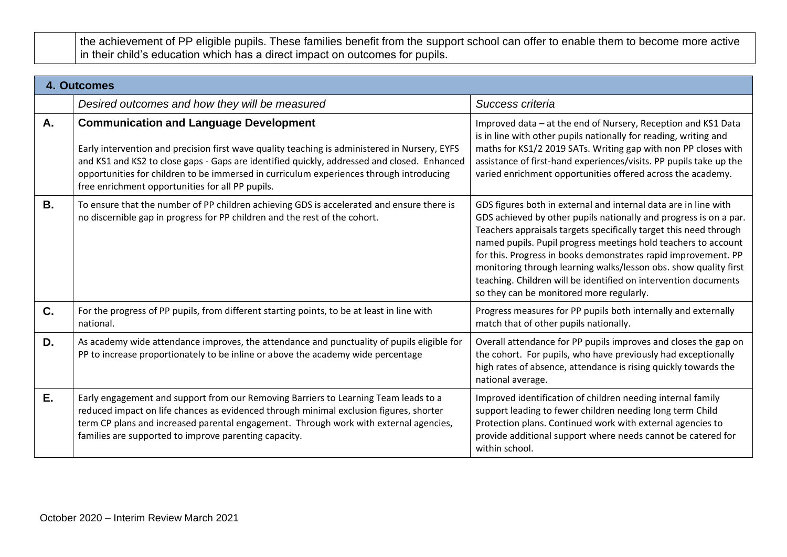the achievement of PP eligible pupils. These families benefit from the support school can offer to enable them to become more active in their child's education which has a direct impact on outcomes for pupils.

|           | 4. Outcomes                                                                                                                                                                                                                                                                                                                                                                                  |                                                                                                                                                                                                                                                                                                                                                                                                                                                                                                                                  |
|-----------|----------------------------------------------------------------------------------------------------------------------------------------------------------------------------------------------------------------------------------------------------------------------------------------------------------------------------------------------------------------------------------------------|----------------------------------------------------------------------------------------------------------------------------------------------------------------------------------------------------------------------------------------------------------------------------------------------------------------------------------------------------------------------------------------------------------------------------------------------------------------------------------------------------------------------------------|
|           | Desired outcomes and how they will be measured                                                                                                                                                                                                                                                                                                                                               | Success criteria                                                                                                                                                                                                                                                                                                                                                                                                                                                                                                                 |
| А.        | <b>Communication and Language Development</b><br>Early intervention and precision first wave quality teaching is administered in Nursery, EYFS<br>and KS1 and KS2 to close gaps - Gaps are identified quickly, addressed and closed. Enhanced<br>opportunities for children to be immersed in curriculum experiences through introducing<br>free enrichment opportunities for all PP pupils. | Improved data - at the end of Nursery, Reception and KS1 Data<br>is in line with other pupils nationally for reading, writing and<br>maths for KS1/2 2019 SATs. Writing gap with non PP closes with<br>assistance of first-hand experiences/visits. PP pupils take up the<br>varied enrichment opportunities offered across the academy.                                                                                                                                                                                         |
| <b>B.</b> | To ensure that the number of PP children achieving GDS is accelerated and ensure there is<br>no discernible gap in progress for PP children and the rest of the cohort.                                                                                                                                                                                                                      | GDS figures both in external and internal data are in line with<br>GDS achieved by other pupils nationally and progress is on a par.<br>Teachers appraisals targets specifically target this need through<br>named pupils. Pupil progress meetings hold teachers to account<br>for this. Progress in books demonstrates rapid improvement. PP<br>monitoring through learning walks/lesson obs. show quality first<br>teaching. Children will be identified on intervention documents<br>so they can be monitored more regularly. |
| C.        | For the progress of PP pupils, from different starting points, to be at least in line with<br>national.                                                                                                                                                                                                                                                                                      | Progress measures for PP pupils both internally and externally<br>match that of other pupils nationally.                                                                                                                                                                                                                                                                                                                                                                                                                         |
| D.        | As academy wide attendance improves, the attendance and punctuality of pupils eligible for<br>PP to increase proportionately to be inline or above the academy wide percentage                                                                                                                                                                                                               | Overall attendance for PP pupils improves and closes the gap on<br>the cohort. For pupils, who have previously had exceptionally<br>high rates of absence, attendance is rising quickly towards the<br>national average.                                                                                                                                                                                                                                                                                                         |
| E.        | Early engagement and support from our Removing Barriers to Learning Team leads to a<br>reduced impact on life chances as evidenced through minimal exclusion figures, shorter<br>term CP plans and increased parental engagement. Through work with external agencies,<br>families are supported to improve parenting capacity.                                                              | Improved identification of children needing internal family<br>support leading to fewer children needing long term Child<br>Protection plans. Continued work with external agencies to<br>provide additional support where needs cannot be catered for<br>within school.                                                                                                                                                                                                                                                         |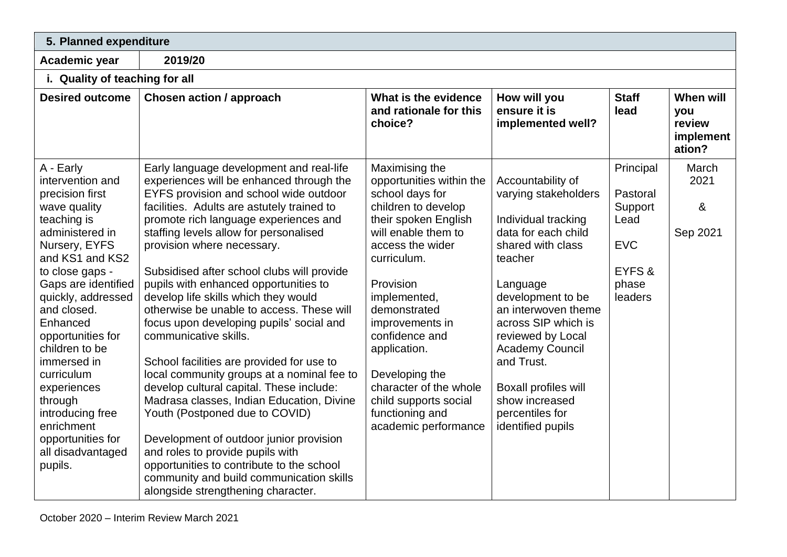| 5. Planned expenditure                                                                                                                                                                                                                                                                                                                                                                                                 |                                                                                                                                                                                                                                                                                                                                                                                                                                                                                                                                                                                                                                                                                                                                                                                                                                                                                                                                                                                    |                                                                                                                                                                                                                                                                                                                                                                                          |                                                                                                                                                                                                                                                                                                                                                       |                                                                                      |                                                   |
|------------------------------------------------------------------------------------------------------------------------------------------------------------------------------------------------------------------------------------------------------------------------------------------------------------------------------------------------------------------------------------------------------------------------|------------------------------------------------------------------------------------------------------------------------------------------------------------------------------------------------------------------------------------------------------------------------------------------------------------------------------------------------------------------------------------------------------------------------------------------------------------------------------------------------------------------------------------------------------------------------------------------------------------------------------------------------------------------------------------------------------------------------------------------------------------------------------------------------------------------------------------------------------------------------------------------------------------------------------------------------------------------------------------|------------------------------------------------------------------------------------------------------------------------------------------------------------------------------------------------------------------------------------------------------------------------------------------------------------------------------------------------------------------------------------------|-------------------------------------------------------------------------------------------------------------------------------------------------------------------------------------------------------------------------------------------------------------------------------------------------------------------------------------------------------|--------------------------------------------------------------------------------------|---------------------------------------------------|
| Academic year                                                                                                                                                                                                                                                                                                                                                                                                          | 2019/20                                                                                                                                                                                                                                                                                                                                                                                                                                                                                                                                                                                                                                                                                                                                                                                                                                                                                                                                                                            |                                                                                                                                                                                                                                                                                                                                                                                          |                                                                                                                                                                                                                                                                                                                                                       |                                                                                      |                                                   |
| i. Quality of teaching for all                                                                                                                                                                                                                                                                                                                                                                                         |                                                                                                                                                                                                                                                                                                                                                                                                                                                                                                                                                                                                                                                                                                                                                                                                                                                                                                                                                                                    |                                                                                                                                                                                                                                                                                                                                                                                          |                                                                                                                                                                                                                                                                                                                                                       |                                                                                      |                                                   |
| <b>Desired outcome</b>                                                                                                                                                                                                                                                                                                                                                                                                 | <b>Chosen action / approach</b>                                                                                                                                                                                                                                                                                                                                                                                                                                                                                                                                                                                                                                                                                                                                                                                                                                                                                                                                                    | What is the evidence<br>and rationale for this<br>choice?                                                                                                                                                                                                                                                                                                                                | How will you<br>ensure it is<br>implemented well?                                                                                                                                                                                                                                                                                                     | <b>Staff</b><br>lead                                                                 | When will<br>you<br>review<br>implement<br>ation? |
| A - Early<br>intervention and<br>precision first<br>wave quality<br>teaching is<br>administered in<br>Nursery, EYFS<br>and KS1 and KS2<br>to close gaps -<br>Gaps are identified<br>quickly, addressed<br>and closed.<br>Enhanced<br>opportunities for<br>children to be<br>immersed in<br>curriculum<br>experiences<br>through<br>introducing free<br>enrichment<br>opportunities for<br>all disadvantaged<br>pupils. | Early language development and real-life<br>experiences will be enhanced through the<br>EYFS provision and school wide outdoor<br>facilities. Adults are astutely trained to<br>promote rich language experiences and<br>staffing levels allow for personalised<br>provision where necessary.<br>Subsidised after school clubs will provide<br>pupils with enhanced opportunities to<br>develop life skills which they would<br>otherwise be unable to access. These will<br>focus upon developing pupils' social and<br>communicative skills.<br>School facilities are provided for use to<br>local community groups at a nominal fee to<br>develop cultural capital. These include:<br>Madrasa classes, Indian Education, Divine<br>Youth (Postponed due to COVID)<br>Development of outdoor junior provision<br>and roles to provide pupils with<br>opportunities to contribute to the school<br>community and build communication skills<br>alongside strengthening character. | Maximising the<br>opportunities within the<br>school days for<br>children to develop<br>their spoken English<br>will enable them to<br>access the wider<br>curriculum.<br>Provision<br>implemented,<br>demonstrated<br>improvements in<br>confidence and<br>application.<br>Developing the<br>character of the whole<br>child supports social<br>functioning and<br>academic performance | Accountability of<br>varying stakeholders<br>Individual tracking<br>data for each child<br>shared with class<br>teacher<br>Language<br>development to be<br>an interwoven theme<br>across SIP which is<br>reviewed by Local<br><b>Academy Council</b><br>and Trust.<br>Boxall profiles will<br>show increased<br>percentiles for<br>identified pupils | Principal<br>Pastoral<br>Support<br>Lead<br><b>EVC</b><br>EYFS &<br>phase<br>leaders | March<br>2021<br>8 <sub>o</sub><br>Sep 2021       |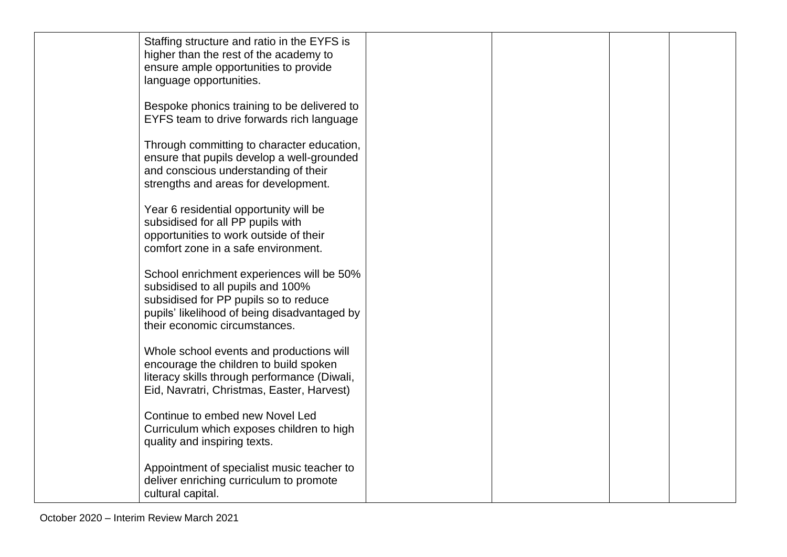| Staffing structure and ratio in the EYFS is<br>higher than the rest of the academy to<br>ensure ample opportunities to provide<br>language opportunities.                                                |  |  |
|----------------------------------------------------------------------------------------------------------------------------------------------------------------------------------------------------------|--|--|
| Bespoke phonics training to be delivered to<br>EYFS team to drive forwards rich language                                                                                                                 |  |  |
| Through committing to character education,<br>ensure that pupils develop a well-grounded<br>and conscious understanding of their<br>strengths and areas for development.                                 |  |  |
| Year 6 residential opportunity will be<br>subsidised for all PP pupils with<br>opportunities to work outside of their<br>comfort zone in a safe environment.                                             |  |  |
| School enrichment experiences will be 50%<br>subsidised to all pupils and 100%<br>subsidised for PP pupils so to reduce<br>pupils' likelihood of being disadvantaged by<br>their economic circumstances. |  |  |
| Whole school events and productions will<br>encourage the children to build spoken<br>literacy skills through performance (Diwali,<br>Eid, Navratri, Christmas, Easter, Harvest)                         |  |  |
| Continue to embed new Novel Led<br>Curriculum which exposes children to high<br>quality and inspiring texts.                                                                                             |  |  |
| Appointment of specialist music teacher to<br>deliver enriching curriculum to promote<br>cultural capital.                                                                                               |  |  |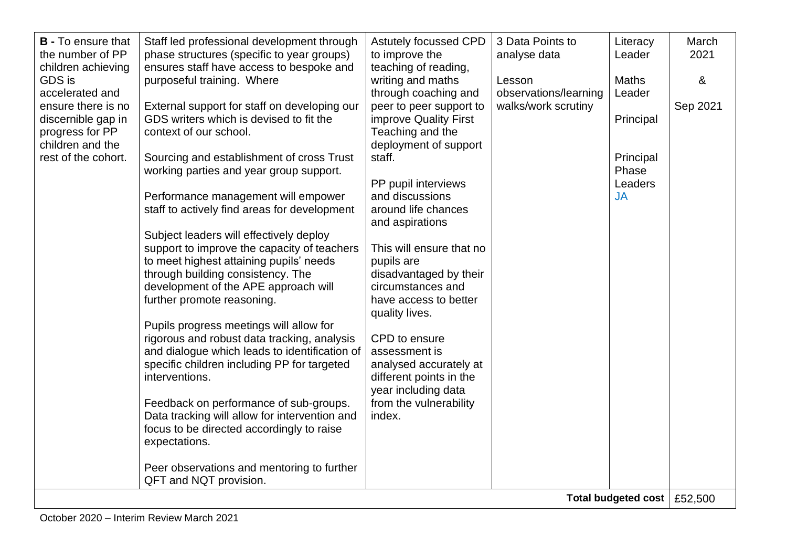| <b>B</b> - To ensure that<br>the number of PP<br>children achieving | Staff led professional development through<br>phase structures (specific to year groups)<br>ensures staff have access to bespoke and | <b>Astutely focussed CPD</b><br>to improve the<br>teaching of reading, | 3 Data Points to<br>analyse data             | Literacy<br>Leader            | March<br>2021 |
|---------------------------------------------------------------------|--------------------------------------------------------------------------------------------------------------------------------------|------------------------------------------------------------------------|----------------------------------------------|-------------------------------|---------------|
| <b>GDS</b> is<br>accelerated and                                    | purposeful training. Where                                                                                                           | writing and maths                                                      | Lesson                                       | <b>Maths</b><br>Leader        | &             |
| ensure there is no                                                  | External support for staff on developing our                                                                                         | through coaching and<br>peer to peer support to                        | observations/learning<br>walks/work scrutiny |                               | Sep 2021      |
| discernible gap in<br>progress for PP                               | GDS writers which is devised to fit the<br>context of our school.                                                                    | improve Quality First<br>Teaching and the                              |                                              | Principal                     |               |
| children and the<br>rest of the cohort.                             | Sourcing and establishment of cross Trust                                                                                            | deployment of support<br>staff.                                        |                                              | Principal                     |               |
|                                                                     | working parties and year group support.                                                                                              | PP pupil interviews                                                    |                                              | Phase<br>Leaders              |               |
|                                                                     | Performance management will empower<br>staff to actively find areas for development                                                  | and discussions<br>around life chances                                 |                                              | <b>JA</b>                     |               |
|                                                                     |                                                                                                                                      | and aspirations                                                        |                                              |                               |               |
|                                                                     | Subject leaders will effectively deploy<br>support to improve the capacity of teachers                                               | This will ensure that no                                               |                                              |                               |               |
|                                                                     | to meet highest attaining pupils' needs<br>through building consistency. The                                                         | pupils are<br>disadvantaged by their                                   |                                              |                               |               |
|                                                                     | development of the APE approach will<br>further promote reasoning.                                                                   | circumstances and<br>have access to better                             |                                              |                               |               |
|                                                                     | Pupils progress meetings will allow for                                                                                              | quality lives.                                                         |                                              |                               |               |
|                                                                     | rigorous and robust data tracking, analysis<br>and dialogue which leads to identification of                                         | CPD to ensure<br>assessment is                                         |                                              |                               |               |
|                                                                     | specific children including PP for targeted<br>interventions.                                                                        | analysed accurately at<br>different points in the                      |                                              |                               |               |
|                                                                     | Feedback on performance of sub-groups.                                                                                               | year including data<br>from the vulnerability                          |                                              |                               |               |
|                                                                     | Data tracking will allow for intervention and<br>focus to be directed accordingly to raise                                           | index.                                                                 |                                              |                               |               |
|                                                                     | expectations.                                                                                                                        |                                                                        |                                              |                               |               |
|                                                                     | Peer observations and mentoring to further<br>QFT and NQT provision.                                                                 |                                                                        |                                              |                               |               |
|                                                                     |                                                                                                                                      |                                                                        |                                              | Total budgeted cost   £52,500 |               |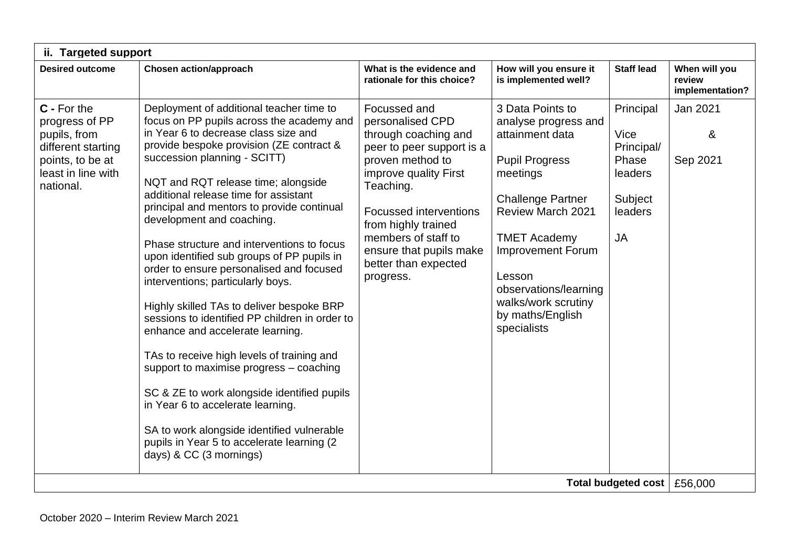| ii. Targeted support                                                                                                       |                                                                                                                                                                                                                                                                                                                                                                                                                                                                                                                                                                                                                                                                                                                                                                                                                                                                                                                                                                                          |                                                                                                                                                                                                                                                                                                |                                                                                                                                                                                                                                                                                                          |                                                                                        |                                            |
|----------------------------------------------------------------------------------------------------------------------------|------------------------------------------------------------------------------------------------------------------------------------------------------------------------------------------------------------------------------------------------------------------------------------------------------------------------------------------------------------------------------------------------------------------------------------------------------------------------------------------------------------------------------------------------------------------------------------------------------------------------------------------------------------------------------------------------------------------------------------------------------------------------------------------------------------------------------------------------------------------------------------------------------------------------------------------------------------------------------------------|------------------------------------------------------------------------------------------------------------------------------------------------------------------------------------------------------------------------------------------------------------------------------------------------|----------------------------------------------------------------------------------------------------------------------------------------------------------------------------------------------------------------------------------------------------------------------------------------------------------|----------------------------------------------------------------------------------------|--------------------------------------------|
| <b>Desired outcome</b>                                                                                                     | <b>Chosen action/approach</b>                                                                                                                                                                                                                                                                                                                                                                                                                                                                                                                                                                                                                                                                                                                                                                                                                                                                                                                                                            | What is the evidence and<br>rationale for this choice?                                                                                                                                                                                                                                         | How will you ensure it<br>is implemented well?                                                                                                                                                                                                                                                           | <b>Staff lead</b>                                                                      | When will you<br>review<br>implementation? |
| C - For the<br>progress of PP<br>pupils, from<br>different starting<br>points, to be at<br>least in line with<br>national. | Deployment of additional teacher time to<br>focus on PP pupils across the academy and<br>in Year 6 to decrease class size and<br>provide bespoke provision (ZE contract &<br>succession planning - SCITT)<br>NQT and RQT release time; alongside<br>additional release time for assistant<br>principal and mentors to provide continual<br>development and coaching.<br>Phase structure and interventions to focus<br>upon identified sub groups of PP pupils in<br>order to ensure personalised and focused<br>interventions; particularly boys.<br>Highly skilled TAs to deliver bespoke BRP<br>sessions to identified PP children in order to<br>enhance and accelerate learning.<br>TAs to receive high levels of training and<br>support to maximise progress - coaching<br>SC & ZE to work alongside identified pupils<br>in Year 6 to accelerate learning.<br>SA to work alongside identified vulnerable<br>pupils in Year 5 to accelerate learning (2<br>days) & CC (3 mornings) | Focussed and<br>personalised CPD<br>through coaching and<br>peer to peer support is a<br>proven method to<br>improve quality First<br>Teaching.<br><b>Focussed interventions</b><br>from highly trained<br>members of staff to<br>ensure that pupils make<br>better than expected<br>progress. | 3 Data Points to<br>analyse progress and<br>attainment data<br><b>Pupil Progress</b><br>meetings<br><b>Challenge Partner</b><br><b>Review March 2021</b><br><b>TMET Academy</b><br><b>Improvement Forum</b><br>Lesson<br>observations/learning<br>walks/work scrutiny<br>by maths/English<br>specialists | Principal<br>Vice<br>Principal/<br>Phase<br>leaders<br>Subject<br>leaders<br><b>JA</b> | Jan 2021<br>&<br>Sep 2021                  |
|                                                                                                                            |                                                                                                                                                                                                                                                                                                                                                                                                                                                                                                                                                                                                                                                                                                                                                                                                                                                                                                                                                                                          |                                                                                                                                                                                                                                                                                                |                                                                                                                                                                                                                                                                                                          | Total budgeted cost   £56,000                                                          |                                            |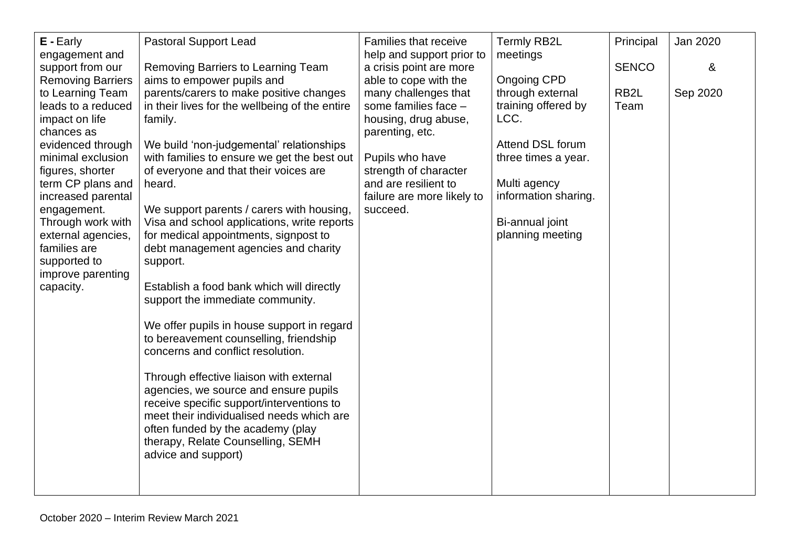| E - Early                                    | <b>Pastoral Support Lead</b>                                                         | Families that receive                            | <b>Termly RB2L</b>                  | Principal         | Jan 2020 |
|----------------------------------------------|--------------------------------------------------------------------------------------|--------------------------------------------------|-------------------------------------|-------------------|----------|
| engagement and                               |                                                                                      | help and support prior to                        | meetings                            | <b>SENCO</b>      | &        |
| support from our<br><b>Removing Barriers</b> | Removing Barriers to Learning Team<br>aims to empower pupils and                     | a crisis point are more<br>able to cope with the | <b>Ongoing CPD</b>                  |                   |          |
| to Learning Team                             | parents/carers to make positive changes                                              | many challenges that                             | through external                    | RB <sub>2</sub> L | Sep 2020 |
| leads to a reduced                           | in their lives for the wellbeing of the entire                                       | some families face -                             | training offered by                 | Team              |          |
| impact on life<br>chances as                 | family.                                                                              | housing, drug abuse,<br>parenting, etc.          | LCC.                                |                   |          |
| evidenced through                            | We build 'non-judgemental' relationships                                             |                                                  | Attend DSL forum                    |                   |          |
| minimal exclusion                            | with families to ensure we get the best out                                          | Pupils who have                                  | three times a year.                 |                   |          |
| figures, shorter<br>term CP plans and        | of everyone and that their voices are<br>heard.                                      | strength of character<br>and are resilient to    | Multi agency                        |                   |          |
| increased parental                           |                                                                                      | failure are more likely to                       | information sharing.                |                   |          |
| engagement.                                  | We support parents / carers with housing,                                            | succeed.                                         |                                     |                   |          |
| Through work with<br>external agencies,      | Visa and school applications, write reports<br>for medical appointments, signpost to |                                                  | Bi-annual joint<br>planning meeting |                   |          |
| families are                                 | debt management agencies and charity                                                 |                                                  |                                     |                   |          |
| supported to                                 | support.                                                                             |                                                  |                                     |                   |          |
| improve parenting<br>capacity.               | Establish a food bank which will directly                                            |                                                  |                                     |                   |          |
|                                              | support the immediate community.                                                     |                                                  |                                     |                   |          |
|                                              |                                                                                      |                                                  |                                     |                   |          |
|                                              | We offer pupils in house support in regard                                           |                                                  |                                     |                   |          |
|                                              | to bereavement counselling, friendship<br>concerns and conflict resolution.          |                                                  |                                     |                   |          |
|                                              |                                                                                      |                                                  |                                     |                   |          |
|                                              | Through effective liaison with external                                              |                                                  |                                     |                   |          |
|                                              | agencies, we source and ensure pupils<br>receive specific support/interventions to   |                                                  |                                     |                   |          |
|                                              | meet their individualised needs which are                                            |                                                  |                                     |                   |          |
|                                              | often funded by the academy (play                                                    |                                                  |                                     |                   |          |
|                                              | therapy, Relate Counselling, SEMH<br>advice and support)                             |                                                  |                                     |                   |          |
|                                              |                                                                                      |                                                  |                                     |                   |          |
|                                              |                                                                                      |                                                  |                                     |                   |          |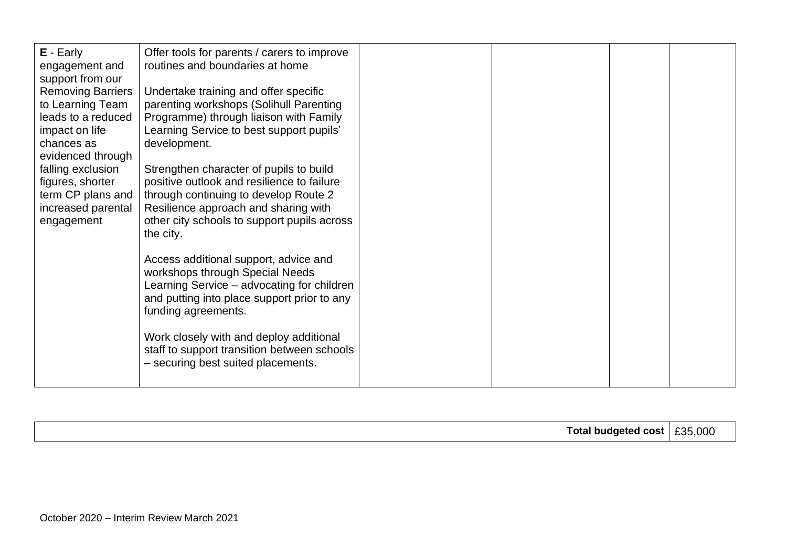| $E -$ Early<br>engagement and<br>support from our<br><b>Removing Barriers</b><br>to Learning Team<br>leads to a reduced<br>impact on life | Offer tools for parents / carers to improve<br>routines and boundaries at home<br>Undertake training and offer specific<br>parenting workshops (Solihull Parenting<br>Programme) through liaison with Family<br>Learning Service to best support pupils' |  |  |
|-------------------------------------------------------------------------------------------------------------------------------------------|----------------------------------------------------------------------------------------------------------------------------------------------------------------------------------------------------------------------------------------------------------|--|--|
| chances as<br>evidenced through<br>falling exclusion<br>figures, shorter<br>term CP plans and<br>increased parental<br>engagement         | development.<br>Strengthen character of pupils to build<br>positive outlook and resilience to failure<br>through continuing to develop Route 2<br>Resilience approach and sharing with<br>other city schools to support pupils across                    |  |  |
|                                                                                                                                           | the city.<br>Access additional support, advice and<br>workshops through Special Needs<br>Learning Service - advocating for children<br>and putting into place support prior to any<br>funding agreements.                                                |  |  |
|                                                                                                                                           | Work closely with and deploy additional<br>staff to support transition between schools<br>- securing best suited placements.                                                                                                                             |  |  |

|  |  | cost<br>aeteo | .000<br>ء ص |
|--|--|---------------|-------------|
|--|--|---------------|-------------|